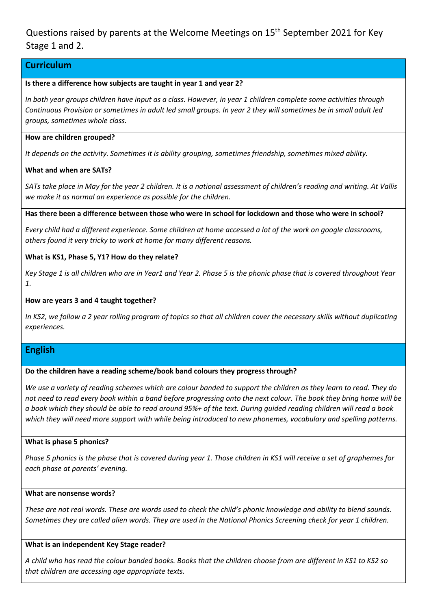Questions raised by parents at the Welcome Meetings on 15<sup>th</sup> September 2021 for Key Stage 1 and 2.

# **Curriculum**

### **Is there a difference how subjects are taught in year 1 and year 2?**

*In both year groups children have input as a class. However, in year 1 children complete some activities through Continuous Provision or sometimes in adult led small groups. In year 2 they will sometimes be in small adult led groups, sometimes whole class.*

### **How are children grouped?**

*It depends on the activity. Sometimes it is ability grouping, sometimes friendship, sometimes mixed ability.*

## **What and when are SATs?**

*SATs take place in May for the year 2 children. It is a national assessment of children's reading and writing. At Vallis we make it as normal an experience as possible for the children.*

**Has there been a difference between those who were in school for lockdown and those who were in school?**

*Every child had a different experience. Some children at home accessed a lot of the work on google classrooms, others found it very tricky to work at home for many different reasons.*

## **What is KS1, Phase 5, Y1? How do they relate?**

*Key Stage 1 is all children who are in Year1 and Year 2. Phase 5 is the phonic phase that is covered throughout Year 1.*

### **How are years 3 and 4 taught together?**

*In KS2, we follow a 2 year rolling program of topics so that all children cover the necessary skills without duplicating experiences.*

# **English**

## **Do the children have a reading scheme/book band colours they progress through?**

*We use a variety of reading schemes which are colour banded to support the children as they learn to read. They do not need to read every book within a band before progressing onto the next colour. The book they bring home will be a book which they should be able to read around 95%+ of the text. During guided reading children will read a book which they will need more support with while being introduced to new phonemes, vocabulary and spelling patterns.*

### **What is phase 5 phonics?**

*Phase 5 phonics is the phase that is covered during year 1. Those children in KS1 will receive a set of graphemes for each phase at parents' evening.*

### **What are nonsense words?**

These are not real words. These are words used to check the child's phonic knowledge and ability to blend sounds. *Sometimes they are called alien words. They are used in the National Phonics Screening check for year 1 children.*

### **What is an independent Key Stage reader?**

*A child who has read the colour banded books. Books that the children choose from are different in KS1 to KS2 so that children are accessing age appropriate texts.*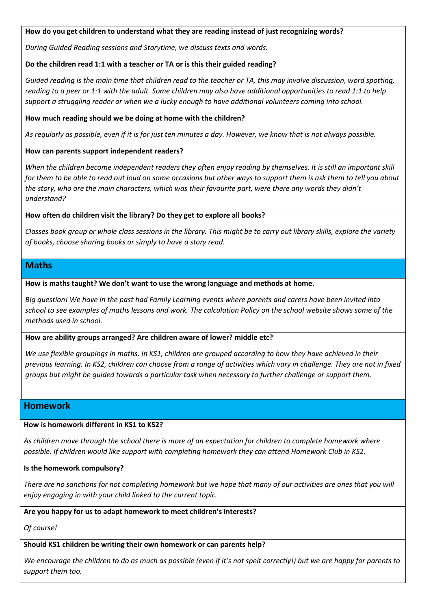**How do you get children to understand what they are reading instead of just recognizing words?**

*During Guided Reading sessions and Storytime, we discuss texts and words.*

### **Do the children read 1:1 with a teacher or TA or is this their guided reading?**

*Guided reading is the main time that children read to the teacher or TA, this may involve discussion, word spotting, reading to a peer or 1:1 with the adult. Some children may also have additional opportunities to read 1:1 to help support a struggling reader or when we a lucky enough to have additional volunteers coming into school.*

### **How much reading should we be doing at home with the children?**

*As regularly as possible, even if it is for just ten minutes a day. However, we know that is not always possible.* 

**How can parents support independent readers?**

When the children become independent readers they often enjoy reading by themselves. It is still an important skill *for them to be able to read out loud on some occasions but other ways to support them is ask them to tell you about the story, who are the main characters, which was their favourite part, were there any words they didn't understand?*

**How often do children visit the library? Do they get to explore all books?** 

*Classes book group or whole class sessions in the library. This might be to carry out library skills, explore the variety of books, choose sharing books or simply to have a story read.*

# **Maths**

**How is maths taught? We don't want to use the wrong language and methods at home.**

*Big question! We have in the past had Family Learning events where parents and carers have been invited into school to see examples of maths lessons and work. The calculation Policy on the school website shows some of the methods used in school.*

### **How are ability groups arranged? Are children aware of lower? middle etc?**

*We use flexible groupings in maths. In KS1, children are grouped according to how they have achieved in their previous learning. In KS2, children can choose from a range of activities which vary in challenge. They are not in fixed groups but might be guided towards a particular task when necessary to further challenge or support them.* 

# **Homework**

## **How is homework different in KS1 to KS2?**

*As children move through the school there is more of an expectation for children to complete homework where possible. If children would like support with completing homework they can attend Homework Club in KS2.*

### **Is the homework compulsory?**

*There are no sanctions for not completing homework but we hope that many of our activities are ones that you will enjoy engaging in with your child linked to the current topic.*

## **Are you happy for us to adapt homework to meet children's interests?**

*Of course!*

# **Should KS1 children be writing their own homework or can parents help?**

*We encourage the children to do as much as possible (even if it's not spelt correctly!) but we are happy for parents to support them too.*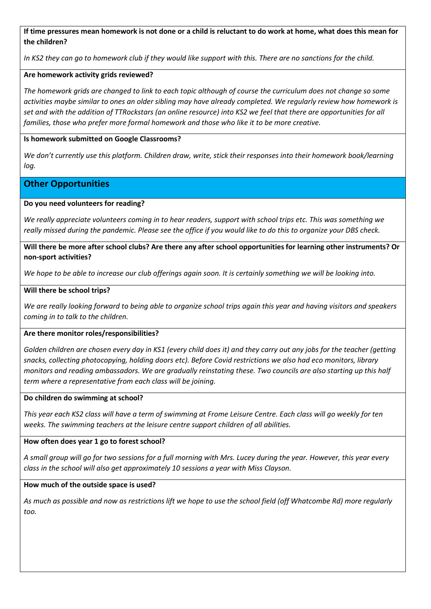**If time pressures mean homework is not done or a child is reluctant to do work at home, what does this mean for the children?**

*In KS2 they can go to homework club if they would like support with this. There are no sanctions for the child.*

## **Are homework activity grids reviewed?**

*The homework grids are changed to link to each topic although of course the curriculum does not change so some activities maybe similar to ones an older sibling may have already completed. We regularly review how homework is set and with the addition of TTRockstars (an online resource) into KS2 we feel that there are opportunities for all families, those who prefer more formal homework and those who like it to be more creative.*

### **Is homework submitted on Google Classrooms?**

*We don't currently use this platform. Children draw, write, stick their responses into their homework book/learning log.*

# **Other Opportunities**

### **Do you need volunteers for reading?**

*We really appreciate volunteers coming in to hear readers, support with school trips etc. This was something we really missed during the pandemic. Please see the office if you would like to do this to organize your DBS check.*

### **Will there be more after school clubs? Are there any after school opportunities for learning other instruments? Or non-sport activities?**

*We hope to be able to increase our club offerings again soon. It is certainly something we will be looking into.*

### **Will there be school trips?**

*We are really looking forward to being able to organize school trips again this year and having visitors and speakers coming in to talk to the children.*

### **Are there monitor roles/responsibilities?**

*Golden children are chosen every day in KS1 (every child does it) and they carry out any jobs for the teacher (getting snacks, collecting photocopying, holding doors etc). Before Covid restrictions we also had eco monitors, library monitors and reading ambassadors. We are gradually reinstating these. Two councils are also starting up this half term where a representative from each class will be joining.*

### **Do children do swimming at school?**

*This year each KS2 class will have a term of swimming at Frome Leisure Centre. Each class will go weekly for ten weeks. The swimming teachers at the leisure centre support children of all abilities.*

### **How often does year 1 go to forest school?**

*A small group will go for two sessions for a full morning with Mrs. Lucey during the year. However, this year every class in the school will also get approximately 10 sessions a year with Miss Clayson.*

### **How much of the outside space is used?**

*As much as possible and now as restrictions lift we hope to use the school field (off Whatcombe Rd) more regularly too.*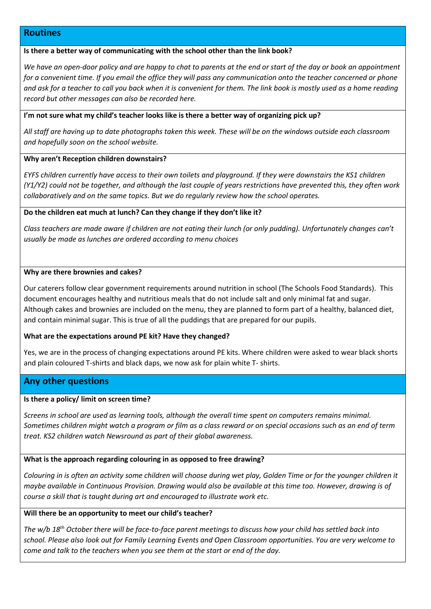## **Routines**

### **Is there a better way of communicating with the school other than the link book?**

*We have an open-door policy and are happy to chat to parents at the end or start of the day or book an appointment for a convenient time. If you email the office they will pass any communication onto the teacher concerned or phone and ask for a teacher to call you back when it is convenient for them. The link book is mostly used as a home reading record but other messages can also be recorded here.*

#### **I'm not sure what my child's teacher looks like is there a better way of organizing pick up?**

*All staff are having up to date photographs taken this week. These will be on the windows outside each classroom and hopefully soon on the school website.*

#### **Why aren't Reception children downstairs?**

*EYFS children currently have access to their own toilets and playground. If they were downstairs the KS1 children (Y1/Y2) could not be together, and although the last couple of years restrictions have prevented this, they often work collaboratively and on the same topics. But we do regularly review how the school operates.*

#### **Do the children eat much at lunch? Can they change if they don't like it?**

*Class teachers are made aware if children are not eating their lunch (or only pudding). Unfortunately changes can't usually be made as lunches are ordered according to menu choices*

#### **Why are there brownies and cakes?**

Our caterers follow clear government requirements around nutrition in school (The Schools Food Standards). This document encourages healthy and nutritious meals that do not include salt and only minimal fat and sugar. Although cakes and brownies are included on the menu, they are planned to form part of a healthy, balanced diet, and contain minimal sugar. This is true of all the puddings that are prepared for our pupils.

### **What are the expectations around PE kit? Have they changed?**

Yes, we are in the process of changing expectations around PE kits. Where children were asked to wear black shorts and plain coloured T-shirts and black daps, we now ask for plain white T- shirts.

### **Any other questions**

### **Is there a policy/ limit on screen time?**

*Screens in school are used as learning tools, although the overall time spent on computers remains minimal. Sometimes children might watch a program or film as a class reward or on special occasions such as an end of term treat. KS2 children watch Newsround as part of their global awareness.*

### **What is the approach regarding colouring in as opposed to free drawing?**

*Colouring in is often an activity some children will choose during wet play, Golden Time or for the younger children it maybe available in Continuous Provision. Drawing would also be available at this time too. However, drawing is of course a skill that is taught during art and encouraged to illustrate work etc.*

### **Will there be an opportunity to meet our child's teacher?**

*The w/b 18th October there will be face-to-face parent meetings to discuss how your child has settled back into school. Please also look out for Family Learning Events and Open Classroom opportunities. You are very welcome to come and talk to the teachers when you see them at the start or end of the day.*